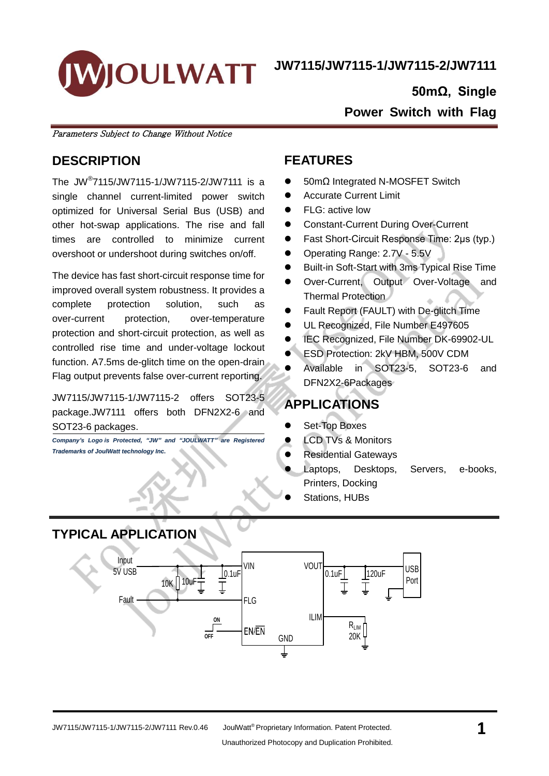

#### **50mΩ, Single**

**Power Switch with Flag**

Parameters Subject to Change Without Notice

## **DESCRIPTION**

The JW® 7115/JW7115-1/JW7115-2/JW7111 is a single channel current-limited power switch optimized for Universal Serial Bus (USB) and other hot-swap applications. The rise and fall times are controlled to minimize current overshoot or undershoot during switches on/off.

The device has fast short-circuit response time for improved overall system robustness. It provides a complete protection solution, such as over-current protection, over-temperature protection and short-circuit protection, as well as controlled rise time and under-voltage lockout function. A7.5ms de-glitch time on the open-drain Flag output prevents false over-current reporting.

JW7115/JW7115-1/JW7115-2 offers SOT23-5 package.JW7111 offers both DFN2X2-6 and SOT23-6 packages.

*Company's Logo is Protected, "JW" and "JOULWATT" are Registered Trademarks of JoulWatt technology Inc.*

### **FEATURES**

- 50mΩ Integrated N-MOSFET Switch
- **•** Accurate Current Limit
- FLG: active low
- Constant-Current During Over-Current
- Fast Short-Circuit Response Time: 2μs (typ.)
- Operating Range: 2.7V 5.5V
- Built-in Soft-Start with 3ms Typical Rise Time
- Over-Current, Output Over-Voltage and Thermal Protection
- Fault Report (FAULT) with De-glitch Time
- UL Recognized, File Number E497605
- IEC Recognized, File Number DK-69902-UL
- ESD Protection: 2kV HBM, 500V CDM
- Available in SOT23-5, SOT23-6 and DFN2X2-6Packages

## **APPLICATIONS**

- Set-Top Boxes
- LCD TVs & Monitors
- Residential Gateways
- Laptops, Desktops, Servers, e-books, Printers, Docking
- Stations, HUBs

## **TYPICAL APPLICATION**

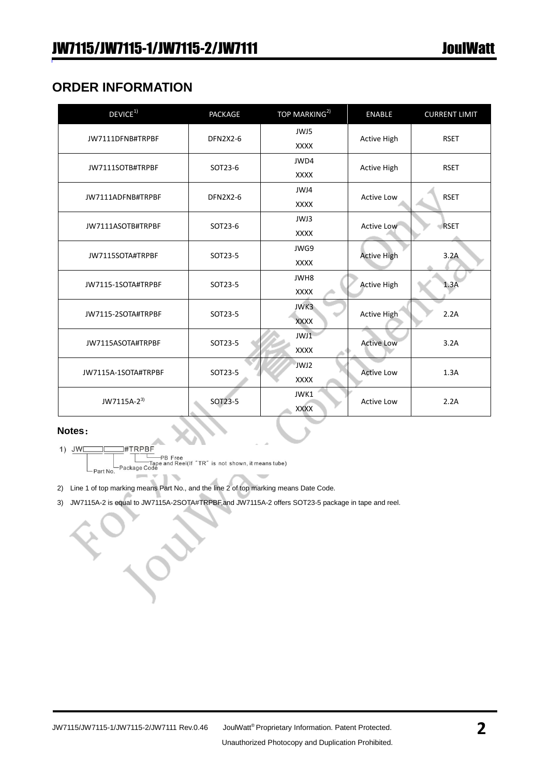## **ORDER INFORMATION**

| DEVICE <sup>1)</sup>    | <b>PACKAGE</b>  | TOP MARKING <sup>2)</sup> | <b>ENABLE</b>      | <b>CURRENT LIMIT</b> |  |
|-------------------------|-----------------|---------------------------|--------------------|----------------------|--|
| JW7111DFNB#TRPBF        | <b>DFN2X2-6</b> | JWJ5                      | <b>Active High</b> | <b>RSET</b>          |  |
|                         |                 | <b>XXXX</b>               |                    |                      |  |
| JW7111SOTB#TRPBF        | SOT23-6         | JWD4                      | <b>Active High</b> | <b>RSET</b>          |  |
|                         |                 | <b>XXXX</b>               |                    |                      |  |
|                         |                 | JWJ4                      |                    |                      |  |
| JW7111ADFNB#TRPBF       | <b>DFN2X2-6</b> | <b>XXXX</b>               | <b>Active Low</b>  | <b>RSET</b>          |  |
|                         |                 | JWJ3                      |                    | <b>RSET</b>          |  |
| JW7111ASOTB#TRPBF       | SOT23-6         | <b>XXXX</b>               | <b>Active Low</b>  |                      |  |
|                         | SOT23-5         | JWG9                      | <b>Active High</b> |                      |  |
| JW7115SOTA#TRPBF        |                 | <b>XXXX</b>               |                    | 3.2A                 |  |
|                         | SOT23-5         | JWH8                      | <b>Active High</b> |                      |  |
| JW7115-1SOTA#TRPBF      |                 | <b>XXXX</b>               |                    | 1.3A                 |  |
|                         |                 | JWK3                      |                    | 2.2A                 |  |
| JW7115-2SOTA#TRPBF      | SOT23-5         | <b>XXXX</b>               | <b>Active High</b> |                      |  |
|                         |                 | JWJ1                      |                    |                      |  |
| JW7115ASOTA#TRPBF       | SOT23-5         | <b>XXXX</b>               | <b>Active Low</b>  | 3.2A                 |  |
|                         |                 | JWJ2                      |                    |                      |  |
| JW7115A-1SOTA#TRPBF     | SOT23-5         | <b>XXXX</b>               | <b>Active Low</b>  | 1.3A                 |  |
|                         |                 | JWK1                      |                    |                      |  |
| JW7115A-2 <sup>3)</sup> | SOT23-5         | <b>XXXX</b>               | <b>Active Low</b>  | 2.2A                 |  |

#### **Notes**:

 $1)$  JWE **#TRPBF** 

— # TRPBF<br>— Г— РВ Free<br>— Таре and Reel(If "TR" is not shown, it means tube)<br>— Package Code - Part No.

- 2) Line 1 of top marking means Part No., and the line 2 of top marking means Date Code.
- 3) JW7115A-2 is equal to JW7115A-2SOTA#TRPBF,and JW7115A-2 offers SOT23-5 package in tape and reel.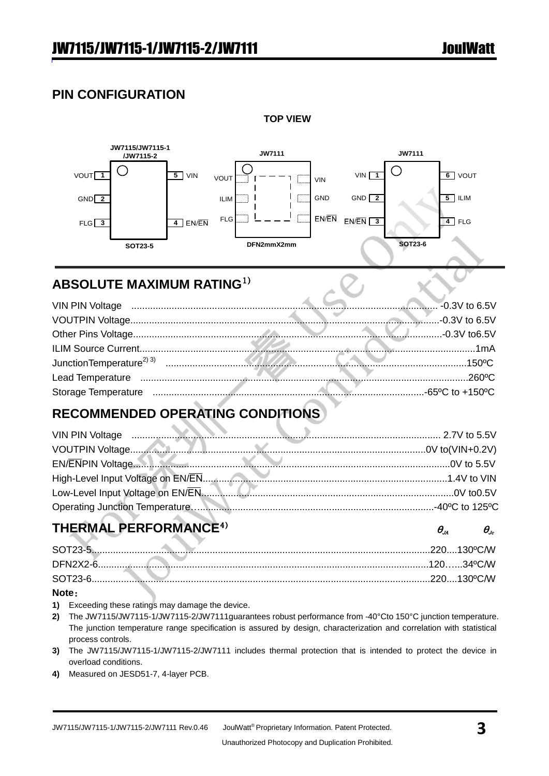## **PIN CONFIGURATION**



**TOP VIEW**

## **ABSOLUTE MAXIMUM RATING**1)

## **RECOMMENDED OPERATING CONDITIONS**

| VIN PIN Voltage <b>www.communication.communication.communication</b> 2.7V to 5.5V |  |
|-----------------------------------------------------------------------------------|--|
|                                                                                   |  |
|                                                                                   |  |
|                                                                                   |  |
|                                                                                   |  |
|                                                                                   |  |

## **THERMAL PERFORMANCE<sup>4)</sup>**  $\theta_{\mu}$  $\theta_{\nu}$

#### **Note**:

- **1)** Exceeding these ratings may damage the device.
- **2)** The JW7115/JW7115-1/JW7115-2/JW7111guarantees robust performance from -40°Cto 150°C junction temperature. The junction temperature range specification is assured by design, characterization and correlation with statistical process controls.
- **3)** The JW7115/JW7115-1/JW7115-2/JW7111 includes thermal protection that is intended to protect the device in overload conditions.
- **4)** Measured on JESD51-7, 4-layer PCB.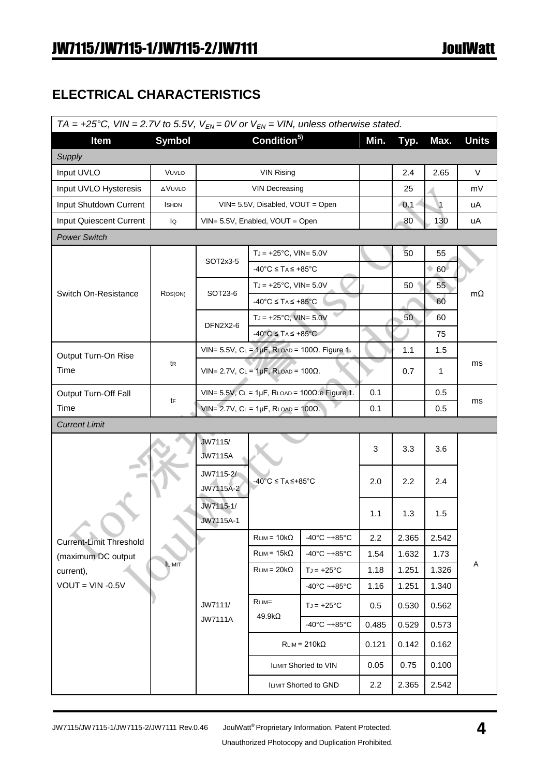## **ELECTRICAL CHARACTERISTICS**

| TA = +25°C, VIN = 2.7V to 5.5V, $V_{EN} = 0V$ or $V_{EN} = VIN$ , unless otherwise stated. |               |                                                   |                                                       |                                                               |       |       |                |              |
|--------------------------------------------------------------------------------------------|---------------|---------------------------------------------------|-------------------------------------------------------|---------------------------------------------------------------|-------|-------|----------------|--------------|
| Item                                                                                       | <b>Symbol</b> |                                                   | Condition <sup>5)</sup>                               |                                                               | Min.  | Typ.  | Max.           | <b>Units</b> |
| Supply                                                                                     |               |                                                   |                                                       |                                                               |       |       |                |              |
| Input UVLO                                                                                 | VUVLO         |                                                   | <b>VIN Rising</b>                                     |                                                               |       | 2.4   | 2.65           | V            |
| Input UVLO Hysteresis                                                                      | <b>AVUVLO</b> |                                                   | <b>VIN Decreasing</b>                                 |                                                               |       | 25    |                | mV           |
| Input Shutdown Current                                                                     | <b>I</b> SHDN |                                                   | VIN= 5.5V, Disabled, VOUT = Open                      |                                                               |       | 0.1   | $\overline{1}$ | uA           |
| Input Quiescent Current                                                                    | lQ            |                                                   | VIN= 5.5V, Enabled, VOUT = Open                       |                                                               |       | 80    | 130            | uA           |
| <b>Power Switch</b>                                                                        |               |                                                   |                                                       |                                                               |       |       |                |              |
|                                                                                            |               |                                                   | $T_J = +25^{\circ}C$ , VIN= 5.0V                      |                                                               |       | 50    | 55             |              |
|                                                                                            |               | SOT2x3-5                                          | $-40^{\circ}$ C $\leq$ TA $\leq$ +85 $^{\circ}$ C     |                                                               |       |       | ٠<br>60        |              |
| Switch On-Resistance                                                                       | RDS(ON)       | SOT23-6                                           | $T_J = +25^{\circ}C$ , VIN= 5.0V                      |                                                               |       | 50    | 55             | $m\Omega$    |
|                                                                                            |               |                                                   | $-40^{\circ}$ C $\leq$ TA $\leq$ +85 $^{\circ}$ C     |                                                               |       |       | 60             |              |
|                                                                                            |               | DFN2X2-6                                          | $TJ = +25^{\circ}C$ , VIN= 5.0V                       |                                                               |       | 50    | 60             |              |
|                                                                                            |               |                                                   | $-40^{\circ}$ C $\leq$ TA $\leq$ +85 $^{\circ}$ C     |                                                               |       |       | 75             |              |
| Output Turn-On Rise                                                                        |               |                                                   |                                                       | VIN= 5.5V, $CL = 1\mu F$ , RLOAD = 100 $\Omega$ . Figure 1.   |       | 1.1   | 1.5            |              |
| Time                                                                                       | tr            |                                                   | $VIN = 2.7V$ , $CL = 1\mu F$ , RLOAD = 100 $\Omega$ . |                                                               |       | 0.7   | $\mathbf{1}$   | ms           |
| Output Turn-Off Fall                                                                       |               |                                                   |                                                       | VIN= $5.5V$ , CL = $1\mu$ F, RLOAD = $100\Omega$ .e Figure 1. | 0.1   |       | 0.5            |              |
| Time                                                                                       | tF            | VIN= 2.7V, $CL = 1\mu F$ , RLOAD = 100 $\Omega$ . |                                                       | 0.1                                                           |       | 0.5   | ms             |              |
| <b>Current Limit</b>                                                                       |               |                                                   |                                                       |                                                               |       |       |                |              |
|                                                                                            |               | JW7115/                                           |                                                       | 3                                                             | 3.3   | 3.6   |                |              |
|                                                                                            |               | <b>JW7115A</b>                                    | $-40^{\circ}$ C $\leq$ TA $\leq$ +85°C                |                                                               |       |       |                |              |
|                                                                                            |               | JW7115-2/<br>JW7115A-2                            |                                                       |                                                               | 2.0   | 2.2   |                | 2.4          |
|                                                                                            |               | JW7115-1/                                         |                                                       |                                                               | 1.1   | 1.3   | 1.5            |              |
|                                                                                            |               | JW7115A-1                                         |                                                       |                                                               |       |       |                |              |
| <b>Current-Limit Threshold</b>                                                             |               |                                                   | $RLIM = 10k\Omega$                                    | $-40^{\circ}$ C ~ $+85^{\circ}$ C                             | 2.2   | 2.365 | 2.542          |              |
| (maximum DC output                                                                         | <b>ILIMIT</b> |                                                   | $RLIM = 15k\Omega$                                    | $-40^{\circ}$ C ~ $+85^{\circ}$ C                             | 1.54  | 1.632 | 1.73           | Α            |
| current),                                                                                  |               |                                                   | $RLIM = 20k\Omega$                                    | $TJ = +25^{\circ}C$                                           | 1.18  | 1.251 | 1.326          |              |
| $VOUT = VIN -0.5V$                                                                         |               |                                                   |                                                       | $-40^{\circ}$ C ~ $+85^{\circ}$ C                             | 1.16  | 1.251 | 1.340          |              |
|                                                                                            |               | JW7111/                                           | $RLIM =$                                              | $TJ = +25^{\circ}C$                                           | 0.5   | 0.530 | 0.562          |              |
|                                                                                            |               | <b>JW7111A</b>                                    | $49.9k\Omega$                                         | $-40^{\circ}$ C ~ $+85^{\circ}$ C                             | 0.485 | 0.529 | 0.573          |              |
|                                                                                            |               |                                                   | $RLIM = 210k\Omega$                                   |                                                               | 0.121 | 0.142 | 0.162          |              |
|                                                                                            |               |                                                   | ILIMIT Shorted to VIN                                 |                                                               | 0.05  | 0.75  | 0.100          |              |
|                                                                                            |               |                                                   | ILIMIT Shorted to GND                                 |                                                               | 2.2   | 2.365 | 2.542          |              |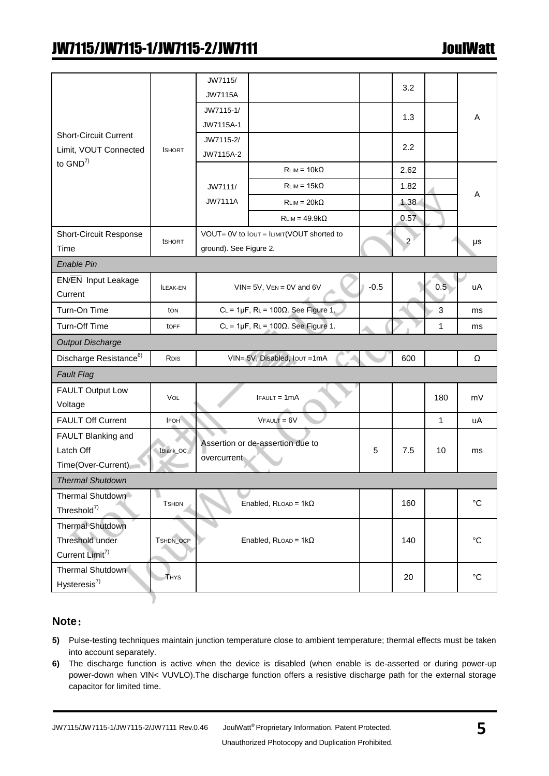|                                       |                 | JW7115/                |                                                  |        | 3.2            |                |                   |
|---------------------------------------|-----------------|------------------------|--------------------------------------------------|--------|----------------|----------------|-------------------|
|                                       |                 | <b>JW7115A</b>         |                                                  |        |                |                |                   |
|                                       |                 | JW7115-1/              |                                                  |        | 1.3            |                | A                 |
|                                       |                 | JW7115A-1              |                                                  |        |                |                |                   |
| <b>Short-Circuit Current</b>          |                 | JW7115-2/              |                                                  |        | 2.2            |                |                   |
| Limit, VOUT Connected<br>to $GND^{7}$ | <b>ISHORT</b>   | JW7115A-2              |                                                  |        |                |                |                   |
|                                       |                 |                        | $RLIM = 10k\Omega$                               |        | 2.62           |                |                   |
|                                       |                 | JW7111/                | $RLIM = 15k\Omega$                               |        | 1.82           |                |                   |
|                                       |                 | <b>JW7111A</b>         | $RLIM = 20k\Omega$                               |        | 1.38           |                | Α                 |
|                                       |                 |                        | $RLIM = 49.9k\Omega$                             |        | 0.57           |                |                   |
| <b>Short-Circuit Response</b>         |                 |                        | VOUT= 0V to lout = ILIMIT(VOUT shorted to        |        |                |                |                   |
| Time                                  | <b>tSHORT</b>   | ground). See Figure 2. |                                                  |        | $\overline{2}$ |                | μs                |
| <b>Enable Pin</b>                     |                 |                        |                                                  |        |                |                |                   |
| EN/EN Input Leakage                   | <b>ILEAK-EN</b> |                        | $VIN = 5V$ , $VEN = 0V$ and $6V$                 | $-0.5$ |                | 0.5            | uA                |
| Current                               |                 |                        |                                                  |        |                |                |                   |
| Turn-On Time                          | ton             |                        | $CL = 1\mu F$ , $RL = 100\Omega$ . See Figure 1. |        |                | $\mathfrak{S}$ | ms                |
| Turn-Off Time                         | <b>tOFF</b>     |                        | $CL = 1\mu F$ , $RL = 100\Omega$ . See Figure 1. |        |                | $\mathbf{1}$   | ms                |
| <b>Output Discharge</b>               |                 |                        |                                                  |        |                |                |                   |
| Discharge Resistance <sup>6)</sup>    | RDIS            |                        | VIN= 5V, Disabled, Iout=1mA                      |        | 600            |                | Ω                 |
| <b>Fault Flag</b>                     |                 |                        |                                                  |        |                |                |                   |
| <b>FAULT Output Low</b>               | VOL             | 180<br>$IFAULT = 1mA$  |                                                  |        |                |                |                   |
| Voltage                               |                 |                        |                                                  |        |                | mV             |                   |
| <b>FAULT Off Current</b>              | <b>IFOH</b>     |                        | $V$ FAULT = $6V$                                 |        |                | $\mathbf{1}$   | uA                |
| FAULT Blanking and                    |                 |                        | Assertion or de-assertion due to                 |        |                |                |                   |
| Latch Off                             | tBlank_OC       | overcurrent            |                                                  | 5      | 7.5            | 10             | ms                |
| Time(Over-Current)                    |                 |                        |                                                  |        |                |                |                   |
| <b>Thermal Shutdown</b>               |                 |                        |                                                  |        |                |                |                   |
| Thermal Shutdown                      | <b>TSHDN</b>    |                        | Enabled, $R$ LOAD = $1k\Omega$                   |        | 160            |                | $^{\circ}{\rm C}$ |
| Threshold <sup>7)</sup>               |                 |                        |                                                  |        |                |                |                   |
| Thermal Shutdown                      |                 |                        |                                                  |        |                |                |                   |
| Threshold under                       | TSHDN_OCP       |                        | Enabled, $R$ LOAD = $1k\Omega$                   |        | 140            |                | $^{\circ}$ C      |
| Current Limit <sup>7)</sup>           |                 |                        |                                                  |        |                |                |                   |
| Thermal Shutdown                      | THYS            |                        |                                                  |        | 20             |                | $^{\circ}C$       |
| $H$ ysteresis <sup>7)</sup>           |                 |                        |                                                  |        |                |                |                   |
|                                       |                 |                        |                                                  |        |                |                |                   |

#### **Note**:

- **5)** Pulse-testing techniques maintain junction temperature close to ambient temperature; thermal effects must be taken into account separately.
- **6)** The discharge function is active when the device is disabled (when enable is de-asserted or during power-up power-down when VIN< VUVLO).The discharge function offers a resistive discharge path for the external storage capacitor for limited time.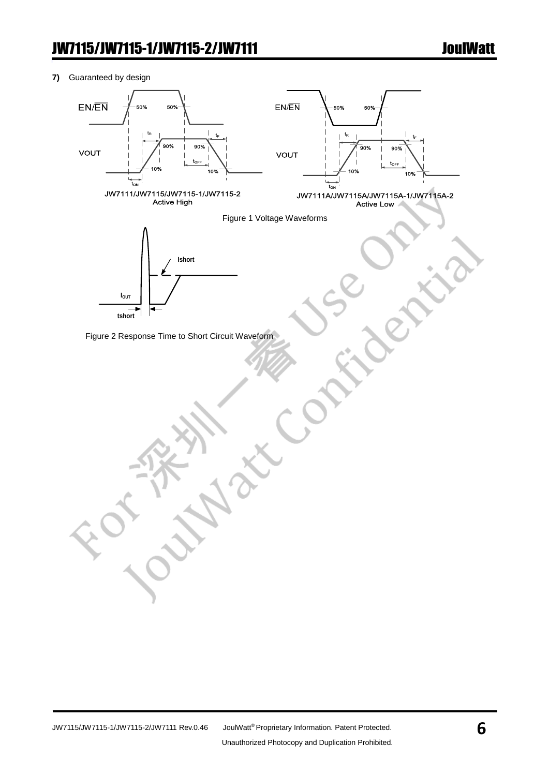**7)** Guaranteed by design

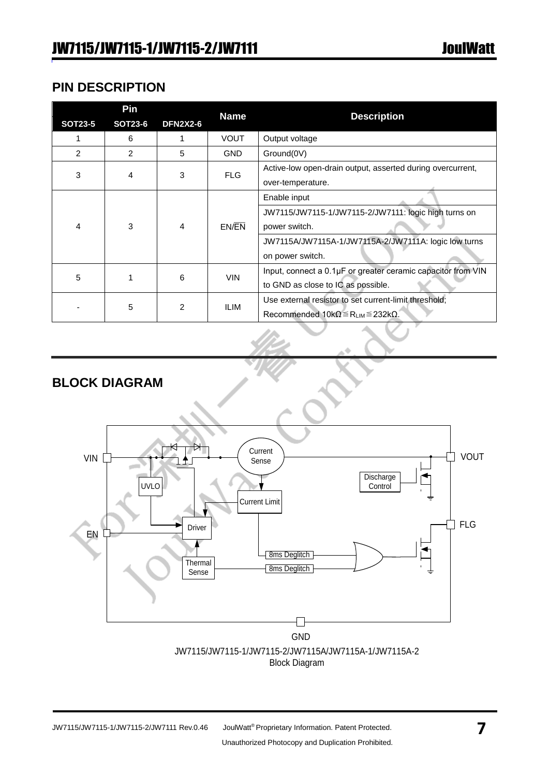## **PIN DESCRIPTION**

| <b>SOT23-5</b> | Pin<br><b>SOT23-6</b> | <b>DFN2X2-6</b> | <b>Name</b>                                                  | <b>Description</b>                                    |  |
|----------------|-----------------------|-----------------|--------------------------------------------------------------|-------------------------------------------------------|--|
|                |                       |                 |                                                              |                                                       |  |
|                | 6                     |                 | <b>VOUT</b>                                                  | Output voltage                                        |  |
| $\mathcal{P}$  | 2                     | 5.              | <b>GND</b>                                                   | Ground(0V)                                            |  |
| 3              | 4                     |                 | Active-low open-drain output, asserted during overcurrent,   |                                                       |  |
|                |                       | <b>FLG</b><br>3 |                                                              | over-temperature.                                     |  |
|                |                       |                 |                                                              | Enable input                                          |  |
|                |                       |                 |                                                              | JW7115/JW7115-1/JW7115-2/JW7111: logic high turns on  |  |
| 4              | 3                     | 4               | EN/EN                                                        | power switch.                                         |  |
|                |                       |                 |                                                              | JW7115A/JW7115A-1/JW7115A-2/JW7111A: logic low turns  |  |
|                |                       |                 |                                                              | on power switch.                                      |  |
|                |                       |                 | Input, connect a 0.1µF or greater ceramic capacitor from VIN |                                                       |  |
| 5              |                       | 6               | <b>VIN</b>                                                   | to GND as close to IC as possible.                    |  |
|                |                       |                 |                                                              | Use external resistor to set current-limit threshold; |  |
|                | 5                     | 2               | <b>ILIM</b>                                                  | Recommended $10k\Omega \le R_{LIM} \le 232k\Omega$ .  |  |

## **BLOCK DIAGRAM**

 $\overline{a}$ 

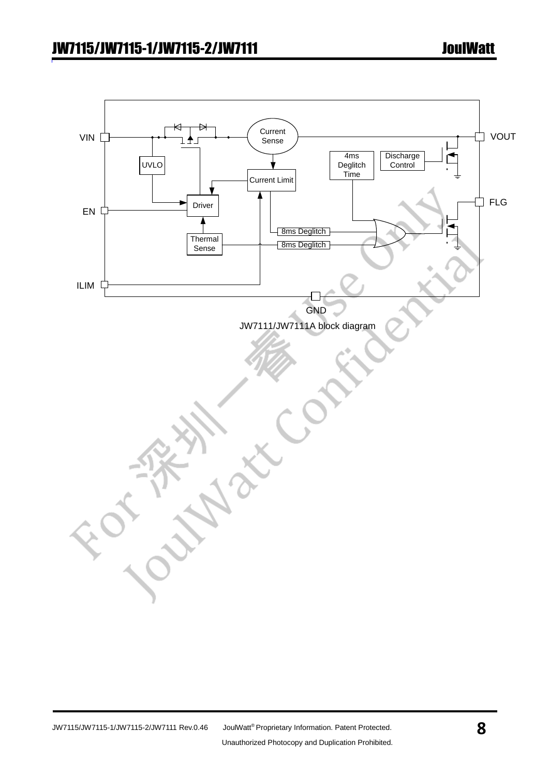![](_page_7_Figure_2.jpeg)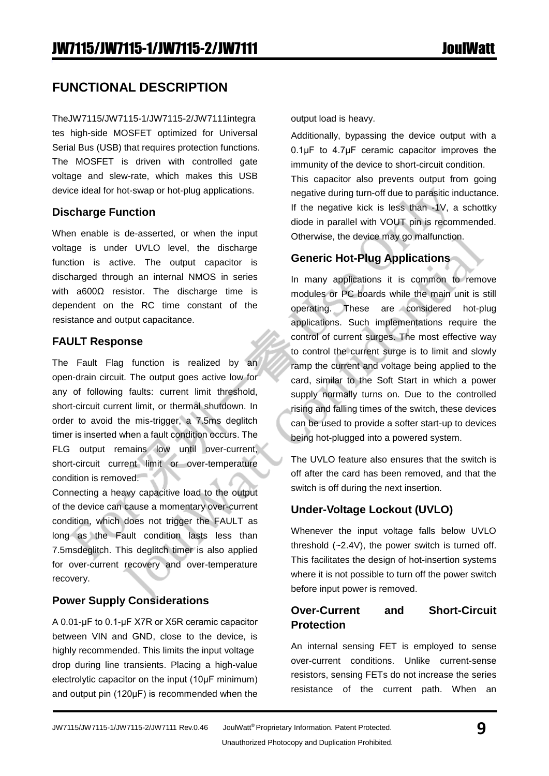## **FUNCTIONAL DESCRIPTION**

TheJW7115/JW7115-1/JW7115-2/JW7111integra tes high-side MOSFET optimized for Universal Serial Bus (USB) that requires protection functions. The MOSFET is driven with controlled gate voltage and slew-rate, which makes this USB device ideal for hot-swap or hot-plug applications.

#### **Discharge Function**

When enable is de-asserted, or when the input voltage is under UVLO level, the discharge function is active. The output capacitor is discharged through an internal NMOS in series with a600Ω resistor. The discharge time is dependent on the RC time constant of the resistance and output capacitance.

#### **FAULT Response**

The Fault Flag function is realized by an open-drain circuit. The output goes active low for any of following faults: current limit threshold, short-circuit current limit, or thermal shutdown. In order to avoid the mis-trigger, a 7.5ms deglitch timer is inserted when a fault condition occurs. The FLG output remains low until over-current, short-circuit current limit or over-temperature condition is removed.

Connecting a heavy capacitive load to the output of the device can cause a momentary over-current condition, which does not trigger the FAULT as long as the Fault condition lasts less than 7.5msdeglitch. This deglitch timer is also applied for over-current recovery and over-temperature recovery.

### **Power Supply Considerations**

A 0.01-μF to 0.1-μF X7R or X5R ceramic capacitor between VIN and GND, close to the device, is highly recommended. This limits the input voltage drop during line transients. Placing a high-value electrolytic capacitor on the input (10μF minimum) and output pin (120μF) is recommended when the output load is heavy.

Additionally, bypassing the device output with a 0.1μF to 4.7μF ceramic capacitor improves the immunity of the device to short-circuit condition. This capacitor also prevents output from going negative during turn-off due to parasitic inductance. If the negative kick is less than -1V, a schottky diode in parallel with VOUT pin is recommended. Otherwise, the device may go malfunction.

#### **Generic Hot-Plug Applications**

In many applications it is common to remove modules or PC boards while the main unit is still operating. These are considered hot-plug applications. Such implementations require the control of current surges. The most effective way to control the current surge is to limit and slowly ramp the current and voltage being applied to the card, similar to the Soft Start in which a power supply normally turns on. Due to the controlled rising and falling times of the switch, these devices can be used to provide a softer start-up to devices being hot-plugged into a powered system.

The UVLO feature also ensures that the switch is off after the card has been removed, and that the switch is off during the next insertion.

### **Under-Voltage Lockout (UVLO)**

Whenever the input voltage falls below UVLO threshold (~2.4V), the power switch is turned off. This facilitates the design of hot-insertion systems where it is not possible to turn off the power switch before input power is removed.

#### **Over-Current and Short-Circuit Protection**

An internal sensing FET is employed to sense over-current conditions. Unlike current-sense resistors, sensing FETs do not increase the series resistance of the current path. When an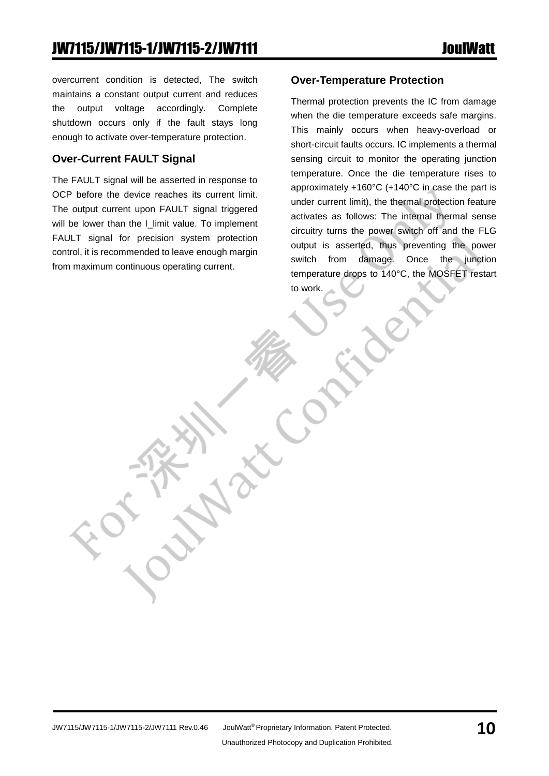overcurrent condition is detected, The switch maintains a constant output current and reduces the output voltage accordingly. Complete shutdown occurs only if the fault stays long enough to activate over-temperature protection.

#### **Over-Current FAULT Signal**

The FAULT signal will be asserted in response to OCP before the device reaches its current limit. The output current upon FAULT signal triggered will be lower than the I\_limit value. To implement FAULT signal for precision system protection control, it is recommended to leave enough margin from maximum continuous operating current.

#### **Over-Temperature Protection**

Thermal protection prevents the IC from damage when the die temperature exceeds safe margins. This mainly occurs when heavy-overload or short-circuit faults occurs. IC implements a thermal sensing circuit to monitor the operating junction temperature. Once the die temperature rises to approximately +160°C (+140°C in case the part is under current limit), the thermal protection feature activates as follows: The internal thermal sense circuitry turns the power switch off and the FLG output is asserted, thus preventing the power switch from damage. Once the junction temperature drops to 140°C, the MOSFET restart to work.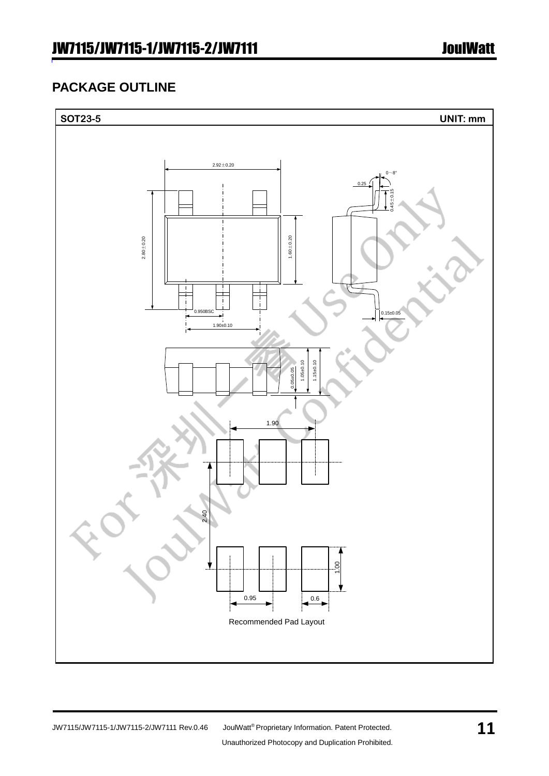## **PACKAGE OUTLINE**

![](_page_10_Figure_3.jpeg)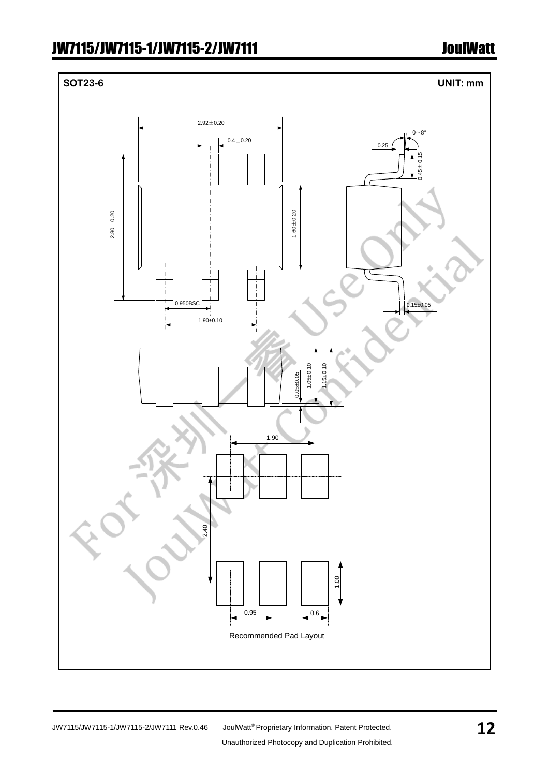# **SOT23-6 UNIT: mm**  $2.92 \pm 0.20$  $0~8$ °  $0.4 + 0.20$ 0.25  $45 \pm 0.$ 1.60±0.20  $2.80 + 0.20$ Ť j. 0.950BSC  $0.15±0.05$ 1.90±0.10 1.05±0.10 1.15±0.10 0.05±0.05 1.90 2.40 1.00  $0.95$  0.6 Recommended Pad Layout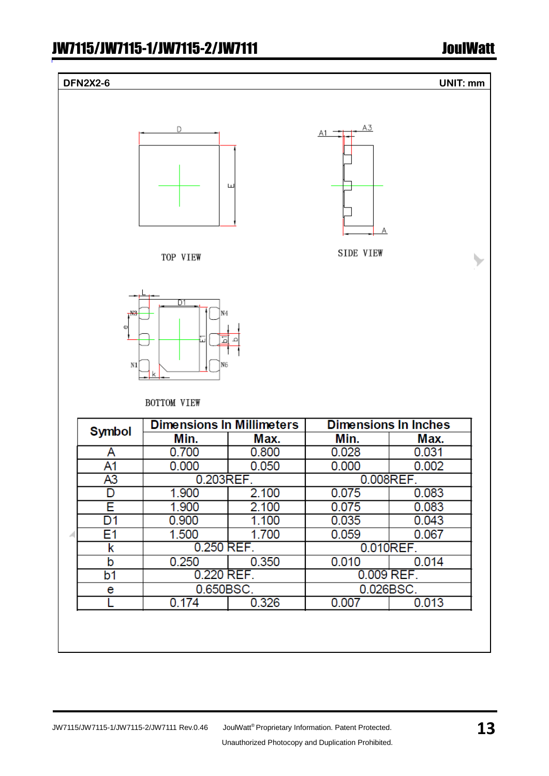| ĸ                                        | <b>U.ZJU INEF.</b> |       | U.UIUREF.                                            |       |    |
|------------------------------------------|--------------------|-------|------------------------------------------------------|-------|----|
| b                                        | 0.250              | 0.350 | 0.010                                                | 0.014 |    |
| b1                                       | 0.220 REF.         |       | 0.009 REF.                                           |       |    |
| e                                        | 0.650BSC.          |       | 0.026BSC.                                            |       |    |
|                                          | 0.174              | 0.326 | 0.007                                                | 0.013 |    |
|                                          |                    |       |                                                      |       |    |
|                                          |                    |       |                                                      |       |    |
|                                          |                    |       |                                                      |       |    |
|                                          |                    |       |                                                      |       |    |
|                                          |                    |       |                                                      |       |    |
|                                          |                    |       |                                                      |       |    |
|                                          |                    |       |                                                      |       |    |
| JW7115/JW7115-1/JW7115-2/JW7111 Rev.0.46 |                    |       | JoulWatt® Proprietary Information. Patent Protected. |       | 13 |
|                                          |                    |       | Unauthorized Photocopy and Duplication Prohibited.   |       |    |
|                                          |                    |       |                                                      |       |    |

| D        |   | A3<br>A1  |
|----------|---|-----------|
|          | ш | A         |
| TOP VIEW |   | SIDE VIEW |

**DFN2X2-6 UNIT: mm**

![](_page_12_Figure_4.jpeg)

#### BOTTOM VIEW

| <b>Symbol</b> | <b>Dimensions In Millimeters</b> |       | <b>Dimensions In Inches</b> |       |  |
|---------------|----------------------------------|-------|-----------------------------|-------|--|
|               | Min.                             | Max.  | Min.                        | Max.  |  |
| Α             | 0.700                            | 0.800 | 0.028                       | 0.031 |  |
| A1            | 0.000                            | 0.050 | 0.000                       | 0.002 |  |
| A3            | 0.203REF.                        |       | 0.008REF.                   |       |  |
| D             | 1.900                            | 2.100 | 0.075                       | 0.083 |  |
| F             | 1.900                            | 2.100 | 0.075                       | 0.083 |  |
| D1            | 0.900                            | 1.100 | 0.035                       | 0.043 |  |
| E1            | 1.500                            | 1.700 | 0.059                       | 0.067 |  |
| ĸ             | 0.250 REF.                       |       | 0.010REF.                   |       |  |
| b             | 0.250                            | 0.350 | 0.010                       | 0.014 |  |
| b1            | 0.220 REF.                       |       | 0.009 REF.                  |       |  |
| е             | 0.650BSC.                        |       | 0.026BSC.                   |       |  |
|               | 0.174                            | 0.326 | 0.007                       | 0.013 |  |
|               |                                  |       |                             |       |  |

 $\overline{\mathcal{V}}$ 

 $\mathsf{A}$